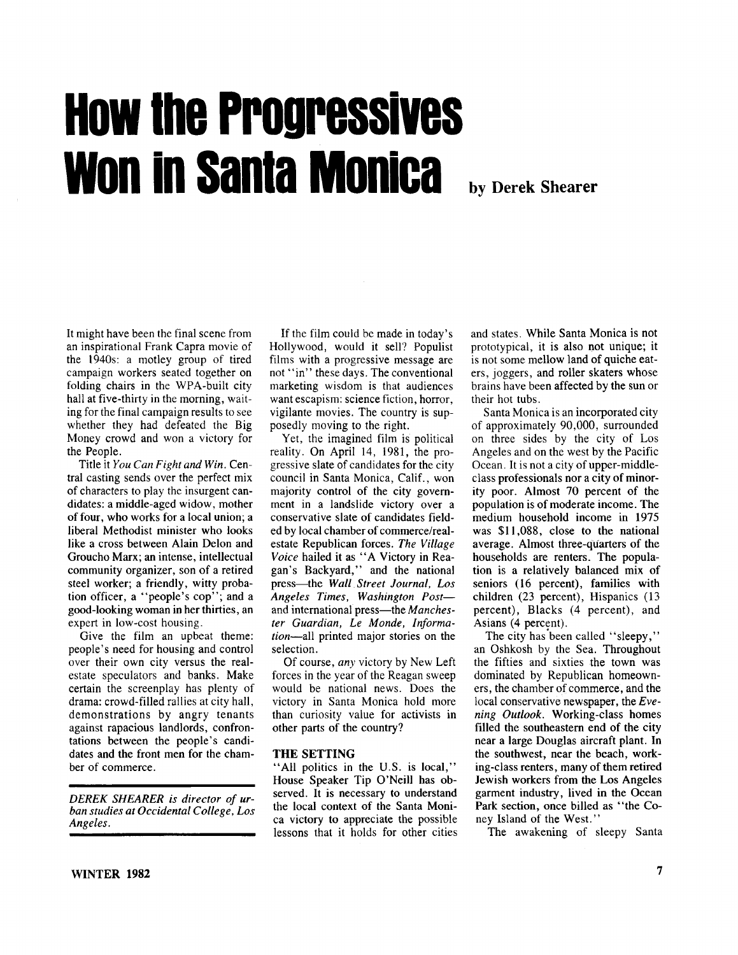# How the Progressives won in Santa Monica

**by Derek Shearer**

It might have been the final scene from an inspirational Frank Capra movie of the 1940s: a motley group of tired campaign workers seated together on folding chairs in the WPA-built city hall at five-thirty in the morning, waiting for the final campaign results to see whether they had defeated the Big Money crowd and won a victory for the People.

Title it *You Can Fight and Win.* Central casting sends over the perfect mix of characters to play the insurgent candidates: a middle-aged widow, mother of four, who works for a local union; a liberal Methodist minister who looks like a cross between Alain Delon and Groucho Marx; an intense, intellectual community organizer, son of a retired steel worker; a friendly, witty probation officer, a "people's cop"; and a good-looking woman in her thirties, an expert in low-cost housing.

Give the film an upbeat theme: people's need for housing and control over their own city versus the realestate speculators and banks. Make certain the screenplay has plenty of drama: crowd-filled rallies at city hall, demonstrations by angry tenants against rapacious landlords, confrontations between the people's candidates and the front men for the chamber of commerce.

**DEREK SHEARER** is director of ur*ban studies at Occidental College, Los Angeles.*

If the film could be made in today's Hollywood, would it sell? Populist films with a progressive message are not "in" these days. The conventional marketing wisdom is that audiences want escapism: science fiction, horror, vigilante movies. The country is supposedly moving to the right.

Yet, the imagined film is political reality. On April 14, 1981, the progressive slate of candidates for the city council in Santa Monica, Calif., won majority control of the city government in a landslide victory over a conservative slate of candidates fielded by local chamber of commerce/realestate Republican forces. *The Village Voice* hailed it as " A Victory in Reagan's Backyard," and the national press—the *Wall Street Journal, Los Angeles Times, Washington Post* and international press—the *Manchester Guardian, Le Monde, Information*—all printed major stories on the selection.

Of course, *any* victory by New Left forces in the year of the Reagan sweep would be national news. Does the victory in Santa Monica hold more than curiosity value for activists in other parts of the country?

#### **THE SETTING**

" All politics in the U.S. is local," House Speaker Tip O'Neill has observed. It is necessary to understand the local context of the Santa Monica victory to appreciate the possible lessons that it holds for other cities and states. While Santa Monica is not prototypical, it is also not unique; it is not some mellow land of quiche eaters, joggers, and roller skaters whose brains have been affected by the sun or their hot tubs.

Santa Monica is an incorporated city of approximately 90,000, surrounded on three sides by the city of Los Angeles and on the west by the Pacific Ocean. It is not a city of upper-middleclass professionals nor a city of minority poor. Almost 70 percent of the population is of moderate income. The medium household income in 1975 was \$11,088, close to the national average. Almost three-quarters of the households are renters. The population is a relatively balanced mix of seniors (16 percent), families with children (23 percent), Hispanics (13 percent), Blacks (4 percent), and Asians (4 percent).

The city has been called "sleepy," an Oshkosh by the Sea. Throughout the fifties and sixties the town was dominated by Republican homeowners, the chamber of commerce , and the local conservative newspaper, the *Evening Outlook.* Working-class homes filled the southeastern end of the city near a large Douglas aircraft plant. In the southwest, near the beach, working-class renters, many of them retired Jewish workers from the Los Angeles garment industry, lived in the Ocean Park section, once billed as " the Coney Island of the West."

The awakening of sleepy Santa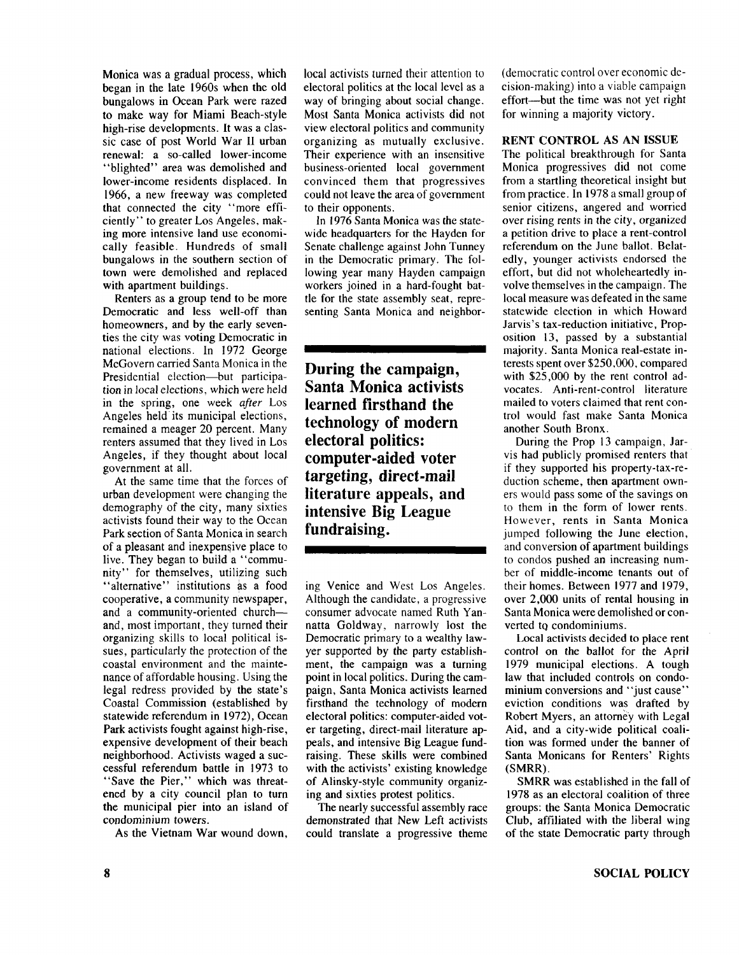Monica was a gradual process, which began in the late 1960s when the old bungalows in Ocean Park were razed to make way for Miami Beach-style high-rise developments. It was a classic case of post World War II urban renewal: a so-called lower-income "blighted" area was demolished and lower-income residents displaced. In 1966, a new freeway was completed that connected the city " more efficiently" to greater Los Angeles, making more intensive land use economically feasible. Hundreds of small bungalows in the southern section of town were demolished and replaced with apartment buildings.

Renters as a group tend to be more Democratic and less well-off than homeowners, and by the early seventies the city was voting Democratic in national elections. In 1972 George McGovern carried Santa Monica in the Presidential election—but participation in local elections, which were held in the spring, one week *after* Los Angeles held its municipal elections, remained a meager 20 percent. Many renters assumed that they lived in Los Angeles, if they thought about local government at all.

At the same time that the forces of urban development were changing the demography of the city, many sixties activists found their way to the Ocean Park section of Santa Monica in search of a pleasant and inexpensive place to live. They began to build a " community" for themselves, utilizing such "alternative" institutions as a food cooperative, a community newspaper, and a community-oriented church and, most important, they turned their organizing skills to local political issues, particularly the protection of the coastal environment and the maintenance of affordable housing. Using the legal redress provided by the state's Coastal Commission (established by statewide referendum in 1972), Ocean Park activists fought against high-rise, expensive development of their beach neighborhood. Activists waged a successful referendum battle in 1973 to "Save the Pier," which was threatened by a city council plan to turn the municipal pier into an island of condominium towers.

As the Vietnam War wound down,

local activists turned their attention to electoral politics at the local level as a way of bringing about social change. Most Santa Monica activists did not view electoral politics and community organizing as mutually exclusive. Their experience with an insensitive business-oriented local government convinced them that progressives could not leave the area of government to their opponents.

In 1976 Santa Monica was the statewide headquarters for the Hayden for Senate challenge against John Tunney in the Democratic primary. The following year many Hayden campaign workers joined in a hard-fought battle for the state assembly seat, representing Santa Monica and neighbor-

**During the campaign, Santa Monica activists learned firsthand the technology of modern electoral politics: computer-aided voter targeting, direct-mail literature appeals, and intensive Big League fundraising.**

ing Venice and West Los Angeles. Although the candidate, a progressive consumer advocate named Ruth Yannatta Goldway, narrowly lost the Democratic primary to a wealthy lawyer supported by the party establishment, the campaign was a turning point in local politics. During the campaign, Santa Monica activists learned firsthand the technology of modern electoral politics: computer-aided voter targeting, direct-mail literature appeals, and intensive Big League fundraising. These skills were combined with the activists' existing knowledge of Alinsky-style community organizing and sixties protest politics.

The nearly successful assembly race demonstrated that New Left activists could translate a progressive theme (democratic control over economic decision-making) into a viable campaign effort—but the time was not yet right for winning a majority victory.

#### **RENT CONTROL AS AN ISSUE**

The political breakthrough for Santa Monica progressives did not come from a startling theoretical insight but from practice. In 1978 a small group of senior citizens, angered and worried over rising rents in the city, organized a petition drive to place a rent-control referendum on the June ballot. Belatedly, younger activists endorsed the effort, but did not wholeheartedly involve themselves in the campaign. The local measure was defeated in the same statewide election in which Howard Jarvis's tax-reduction initiative, Proposition 13, passed by a substantial majority. Santa Monica real-estate interests spent over \$250,000, compared with \$25,000 by the rent control advocates. Anti-rent-control literature mailed to voters claimed that rent control would fast make Santa Monica another South Bronx.

During the Prop 13 campaign, Jarvis had publicly promised renters that if they supported his property-tax-reduction scheme, then apartment owners would pass some of the savings on to them in the form of lower rents. However, rents in Santa Monica jumped following the June election, and conversion of apartment buildings to condos pushed an increasing number of middle-income tenants out of their homes. Between 1977 and 1979, over 2,000 units of rental housing in Santa Monica were demolished or converted to condominiums.

Local activists decided to place rent control on the ballot for the April 1979 municipal elections. A tough law that included controls on condominium conversions and "just cause" eviction conditions was drafted by Robert Myers, an attorney with Legal Aid, and a city-wide political coalition was formed under the banner of Santa Monicans for Renters' Rights (SMRR).

SMRR was established in the fall of 1978 as an electoral coalition of three groups: the Santa Monica Democratic Club, affiliated with the liberal wing of the state Democratic party through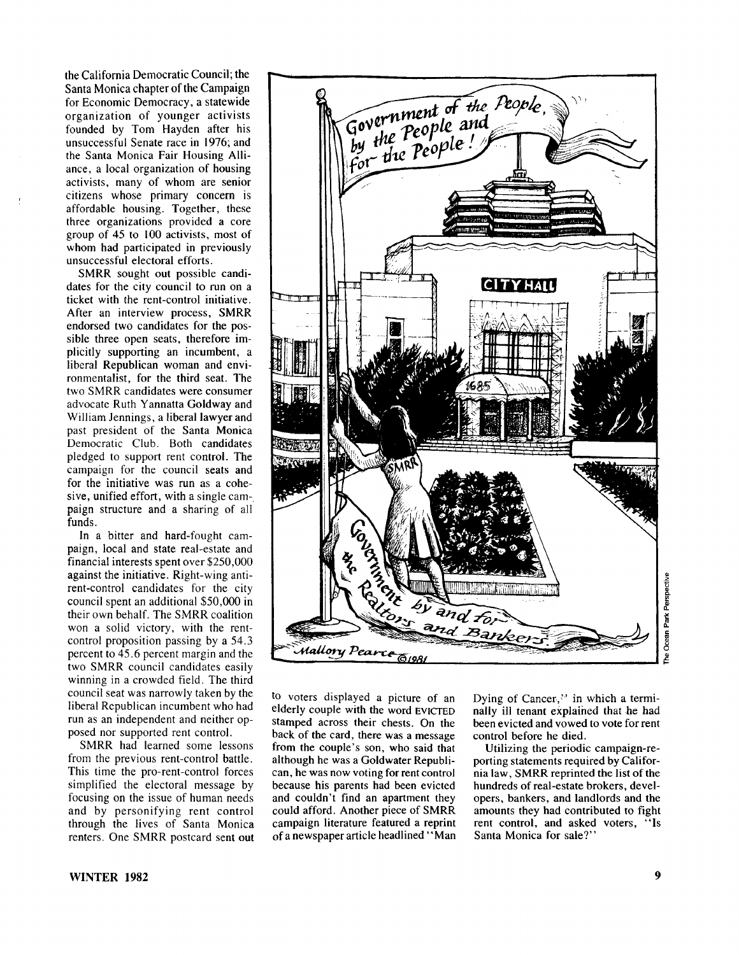the California Democratic Council; the Santa Monica chapter of the Campaign for Economic Democracy, a statewide organization of younger activists founded by Tom Hayden after his unsuccessful Senate race in 1976; and the Santa Monica Fair Housing Alliance, a local organization of housing activists, many of whom are senior citizens whose primary concern is affordable housing. Together, these three organizations provided a core group of 45 to 100 activists, most of whom had participated in previously unsuccessful electoral efforts.

SMRR sought out possible candidates for the city council to run on a ticket with the rent-control initiative. After an interview process, SMRR endorsed two candidates for the possible three open seats, therefore implicitly supporting an incumbent, a liberal Republican woman and environmentalist, for the third seat. The two SMRR candidates were consumer advocate Ruth Yannatta Goldway and William Jennings, a liberal lawyer and past president of the Santa Monica Democratic Club. Both candidates pledged to support rent control. The campaign for the council seats and for the initiative was run as a cohesive, unified effort, with a single campaign structure and a sharing of all funds.

In a bitter and hard-fought campaign, local and state real-estate and financial interests spent over \$250,000 against the initiative. Right-wing antirent-control candidates for the city council spent an additional \$50,000 in their own behalf. The SMRR coalition won a solid victory, with the rentcontrol proposition passing by a 54.3 percent to 45.6 percent margin and the two SMRR council candidates easily winning in a crowded field. The third council seat was narrowly taken by the liberal Republican incumbent who had run as an independent and neither opposed nor supported rent control.

SMRR had learned some lessons from the previous rent-control battle. This time the pro-rent-control forces simplified the electoral message by focusing on the issue of human needs and by personifying rent control through the lives of Santa Monica renters. One SMRR postcard sent out



to voters displayed a picture of an elderly couple with the word EVICTED stamped across their chests. On the back of the card, there was a message from the couple's son, who said that although he was a Goldwater Republican, he was now voting for rent control because his parents had been evicted and couldn't find an apartment they could afford. Another piece of SMRR campaign literature featured a reprint of a newspaper article headlined " Man Dying of Cancer,'' in which a terminally ill tenant explained that he had been evicted and vowed to vote for rent control before he died.

Utilizing the periodic campaign-reporting statements required by California law, SMRR reprinted the list of the hundreds of real-estate brokers, developers, bankers, and landlords and the amounts they had contributed to fight rent control, and asked voters, "Is Santa Monica for sale?"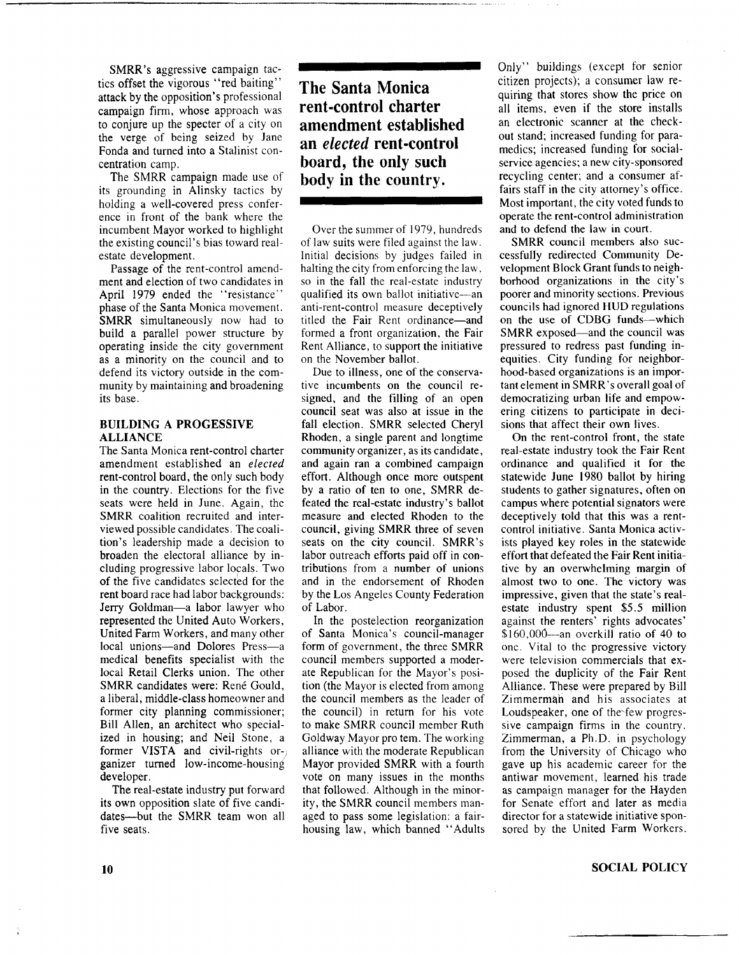SMRR's aggressive campaign tactics offset the vigorous " red baiting" attack by the opposition's professional campaign firm, whose approach was to conjure up the specter of a city on the verge of being seized by Jane Fonda and turned into a Stalinist concentration camp.

The SMRR campaign made use of its grounding in Alinsky tactics by holding a well-covered press conference in front of the bank where the incumbent Mayor worked to highlight the existing council's bias toward realestate development.

Passage of the rent-control amendment and election of two candidates in April 1979 ended the "resistance" phase of the Santa Monica movement. SMRR simultaneously now had to build a parallel power structure by operating inside the city government as a minority on the council and to defend its victory outside in the community by maintaining and broadening its base.

## **BUILDING A PROGESSIVE ALLIANCE**

The Santa Monica rent-control charter amendment established an *elected* rent-control board, the only such body in the country. Elections for the five seats were held in June. Again, the SMRR coalition recruited and interviewed possible candidates. The coalition's leadership made a decision to broaden the electoral alliance by including progressive labor locals. Two of the five candidates selected for the rent board race had labor backgrounds: Jerry Goldman—a labor lawyer who represented the United Auto Workers, United Farm Workers, and many other local unions—and Dolores Press—a medical benefits specialist with the local Retail Clerks union. The other SMRR candidates were: René Gould, a liberal, middle-class homeowner and former city planning commissioner; Bill Allen, an architect who specialized in housing; and Neil Stone, a former VISTA and civil-rights organizer turned low-income-housing developer.

The real-estate industry put forward its own opposition slate of five candidates—but the SMRR team won all five seats.

**The Santa Monica rent-control charter amendment established an** *elected* **rent-control board, the only such body in the country.**

Over the summer of 1979, hundreds of law suits were filed against the law. Initial decisions by judges failed in halting the city from enforcing the law, so in the fall the real-estate industry qualified its own ballot initiative—an anti-rent-control measure deceptively titled the Fair Rent ordinance—and formed a front organization, the Fair Rent Alliance, to support the initiative on the November ballot.

Due to illness, one of the conservative incumbents on the council resigned, and the filling of an open council seat was also at issue in the fall election. SMRR selected Cheryl Rhoden, a single parent and longtime community organizer, as its candidate, and again ran a combined campaign effort. Although once more outspent by a ratio of ten to one, SMRR defeated the real-estate industry's ballot measure and elected Rhoden to the council, giving SMRR three of seven seats on the city council. SMRR's labor outreach efforts paid off in contributions from a number of unions and in the endorsement of Rhoden by the Los Angeles County Federation of Labor.

In the postelection reorganization of Santa Monica's council-manager form of government, the three SMRR council members supported a moderate Republican for the Mayor's position (the Mayor is elected from among the council members as the leader of the council) in return for his vote to make SMRR council member Ruth Goldway Mayor pro tem. The working alliance with the moderate Republican Mayor provided SMRR with a fourth vote on many issues in the months that followed. Although in the minority, the SMRR council members managed to pass some legislation: a fairhousing law, which banned " Adults Only" buildings (except for senior citizen projects); a consumer law requiring that stores show the price on all items, even if the store installs an electronic scanner at the checkout stand; increased funding for paramedics; increased funding for socialservice agencies; a new city-sponsored recycling center; and a consumer affairs staff in the city attorney's office. Most important, the city voted funds to operate the rent-control administration and to defend the law in court.

SMRR council members also successfully redirected Community Development Block Grant funds to neighborhood organizations in the city's poorer and minority sections. Previous councils had ignored HUD regulations on the use of CDBG funds—which SMRR exposed—and the council was pressured to redress past funding inequities. City funding for neighborhood-based organizations is an important element in SMRR's overall goal of democratizing urban life and empowering citizens to participate in decisions that affect their own lives.

On the rent-control front, the state real-estate industry took the Fair Rent ordinance and qualified it for the statewide June 1980 ballot by hiring students to gather signatures, often on campus where potential signators were deceptively told that this was a rentcontrol initiative. Santa Monica activists played key roles in the statewide effort that defeated the Fair Rent initiative by an overwhelming margin of almost two to one. The victory was impressive, given that the state's realestate industry spent \$5.5 million against the renters' rights advocates' \$160,000—an overkill ratio of 40 to one. Vital to the progressive victory were television commercials that exposed the duplicity of the Fair Rent Alliance. These were prepared by Bill Zimmerman and his associates at Loudspeaker, one of the few progressive campaign firms in the country. Zimmerman, a Ph.D. in psychology from the University of Chicago who gave up his academic career for the antiwar movement, learned his trade as campaign manager for the Hayden for Senate effort and later as media director for a statewide initiative sponsored by the United Farm Workers.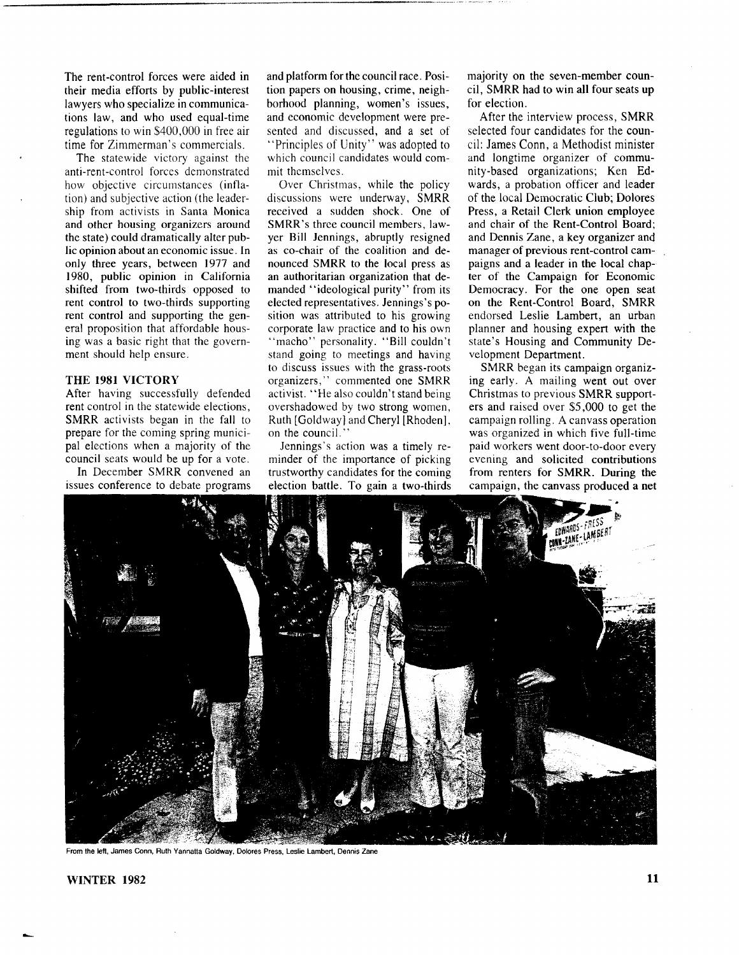The rent-control forces were aided in their media efforts by public-interest lawyers who specialize in communications law, and who used equal-time regulations to win \$400,000 in free air time for Zimmerman's commercials.

The statewide victory against the anti-rent-control forces demonstrated how objective circumstances (inflation) and subjective action (the leadership from activists in Santa Monica and other housing organizers around the state) could dramatically alter public opinion about an economic issue. In only three years, between 1977 and 1980, public opinion in California shifted from two-thirds opposed to rent control to two-thirds supporting rent control and supporting the general proposition that affordable housing was a basic right that the government should help ensure.

# THE 1981 VICTORY

After having successfully defended rent control in the statewide elections, SMRR activists began in the fall to prepare for the coming spring municipal elections when a majority of the council seats would be up for a vote.

In December SMRR convened an issues conference to debate programs and platform for the council race. Position papers on housing, crime, neighborhood planning, women's issues, and economic development were presented and discussed, and a set of "Principles of Unity" was adopted to which council candidates would commit themselves.

Over Christmas, while the policy discussions were underway, SMRR received a sudden shock. One of SMRR's three council members, lawyer Bill Jennings, abruptly resigned as co-chair of the coalition and denounced SMRR to the local press as an authoritarian organization that demanded "ideological purity" from its elected representatives. Jennings's position was attributed to his growing corporate law practice and to his own "macho" personality. "Bill couldn't stand going to meetings and having to discuss issues with the grass-roots organizers," commented one SMRR activist. " He also couldn't stand being overshadowed by two strong women, Ruth [Goldway] and Cheryl [Rhoden], on the council."

Jennings's action was a timely reminder of the importance of picking trustworthy candidates for the coming election battle. To gain a two-thirds majority on the seven-member council, SMRR had to win all four seats up for election.

After the interview process, SMRR selected four candidates for the council: James Conn, a Methodist minister and longtime organizer of community-based organizations; Ken Edwards, a probation officer and leader of the local Democratic Club; Dolores Press, a Retail Clerk union employee and chair of the Rent-Control Board; and Dennis Zane, a key organizer and manager of previous rent-control campaigns and a leader in the local chapter of the Campaign for Economic Democracy. For the one open seat on the Rent-Control Board, SMRR endorsed Leslie Lambert, an urban planner and housing expert with the state's Housing and Community Development Department.

SMRR began its campaign organizing early. A mailing went out over Christmas to previous SMRR supporters and raised over \$5,000 to get the campaign rolling. A canvass operation was organized in which five full-time paid workers went door-to-door every evening and solicited contributions from renters for SMRR. During the campaign, the canvass produced a net



From the left, James Conn, Ruth Yannatta Goldway, Dolores Press, Leslie Lambert, Dennis Zane

**WINTER 1982 11**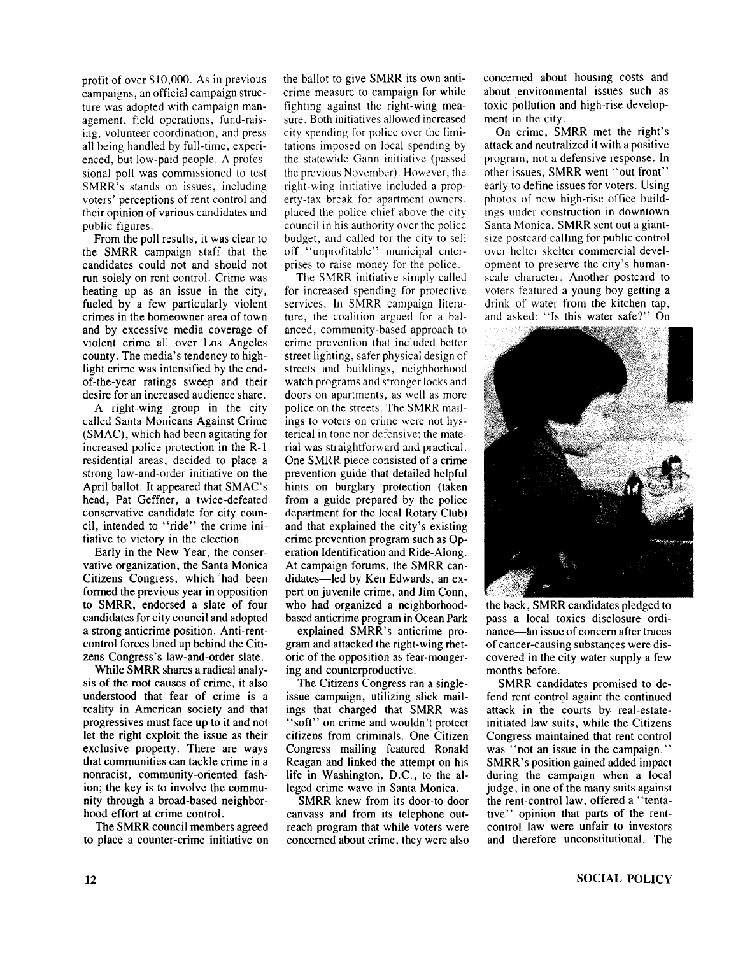profit of over \$10,000. As in previous campaigns, an official campaign structure was adopted with campaign management, field operations, fund-raising, volunteer coordination, and press all being handled by full-time, experienced, but low-paid people. A professional poll was commissioned to test SMRR's stands on issues, including voters' perceptions of rent control and their opinion of various candidates and public figures.

From the poll results, it was clear to the SMRR campaign staff that the candidates could not and should not run solely on rent control. Crime was heating up as an issue in the city, fueled by a few particularly violent crimes in the homeowner area of town and by excessive media coverage of violent crime all over Los Angeles county. The media's tendency to highlight crime was intensified by the endof-the-year ratings sweep and their desire for an increased audience share.

A right-wing group in the city called Santa Monicans Against Crime (SMAC), which had been agitating for increased police protection in the R-l residential areas, decided to place a strong law-and-order initiative on the April ballot. It appeared that SMAC's head, Pat Geffner, a twice-defeated conservative candidate for city council, intended to "ride" the crime initiative to victory in the election.

Early in the New Year, the conservative organization, the Santa Monica Citizens Congress, which had been formed the previous year in opposition to SMRR, endorsed a slate of four candidates for city council and adopted a strong anticrime position. Anti-rentcontrol forces lined up behind the Citizens Congress's law-and-order slate.

While SMRR shares a radical analysis of the root causes of crime, it also understood that fear of crime is a reality in American society and that progressives must face up to it and not let the right exploit the issue as their exclusive property. There are ways that communities can tackle crime in a nonracist, community-oriented fashion; the key is to involve the community through a broad-based neighborhood effort at crime control.

The SMRR council members agreed to place a counter-crime initiative on the ballot to give SMRR its own anticrime measure to campaign for while fighting against the right-wing measure. Both initiatives allowed increased city spending for police over the limitations imposed on local spending by the statewide Gann initiative (passed the previous November). However, the right-wing initiative included a property-tax break for apartment owners, placed the police chief above the city council in his authority over the police budget, and called for the city to sell off "unprofitable" municipal enterprises to raise money for the police.

The SMRR initiative simply called for increased spending for protective services. In SMRR campaign literature, the coalition argued for a balanced, community-based approach to crime prevention that included better street lighting, safer physical design of streets and buildings, neighborhood watch programs and stronger locks and doors on apartments, as well as more police on the streets. The SMRR mailings to voters on crime were not hysterical in tone nor defensive; the material was straightforward and practical. One SMRR piece consisted of a crime prevention guide that detailed helpful hints on burglary protection (taken from a guide prepared by the police department for the local Rotary Club) and that explained the city's existing crime prevention program such as Operation Identification and Ride-Along. At campaign forums, the SMRR candidates—led by Ken Edwards, an expert on juvenile crime, and Jim Conn, who had organized a neighborhoodbased anticrime program in Ocean Park —explained SMRR's anticrime program and attacked the right-wing rhetoric of the opposition as fear-mongering and counterproductive.

The Citizens Congress ran a singleissue campaign, utilizing slick mailings that charged that SMRR was " soft" on crime and wouldn't protect citizens from criminals. One Citizen Congress mailing featured Ronald Reagan and linked the attempt on his life in Washington, D.C., to the alleged crime wave in Santa Monica.

SMRR knew from its door-to-door canvass and from its telephone outreach program that while voters were concerned about crime, they were also concerned about housing costs and about environmental issues such as toxic pollution and high-rise development in the city.

On crime, SMRR met the right's attack and neutralized it with a positive program, not a defensive response. In other issues, SMRR went " out front" early to define issues for voters. Using photos of new high-rise office buildings under construction in downtown Santa Monica, SMRR sent out a giantsize postcard calling for public control over heiter skelter commercial development to preserve the city's humanscale character. Another postcard to voters featured a young boy getting a drink of water from the kitchen tap, and asked: " Is this water safe?" On



the back, SMRR candidates pledged to pass a local toxics disclosure ordinance—àn issue of concern after traces of cancer-causing substances were discovered in the city water supply a few months before.

SMRR candidates promised to defend rent control againt the continued attack in the courts by real-estateinitiated law suits, while the Citizens Congress maintained that rent control was "not an issue in the campaign." SMRR's position gained added impact during the campaign when a local judge, in one of the many suits against the rent-control law, offered a "tentative" opinion that parts of the rentcontrol law were unfair to investors and therefore unconstitutional. The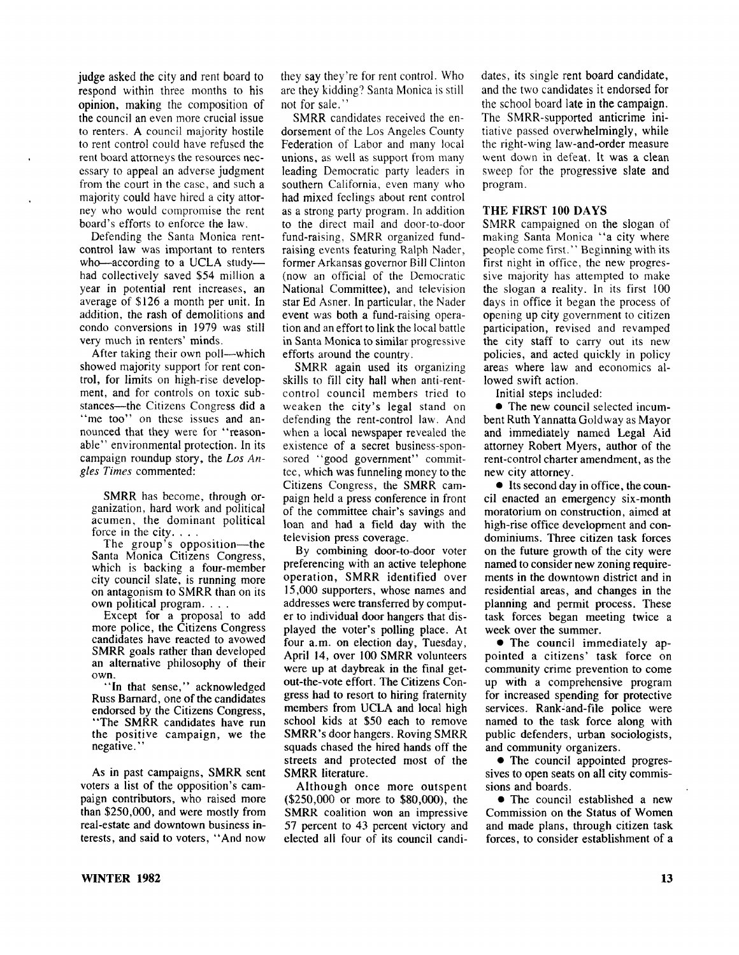judge asked the city and rent board to respond within three months to his opinion, making the composition of the council an even more crucial issue to renters. A council majority hostile to rent control could have refused the rent board attorneys the resources necessary to appeal an adverse judgment from the court in the case, and such a majority could have hired a city attorney who would compromise the rent board's efforts to enforce the law.

Defending the Santa Monica rentcontrol law was important to renters who— according to a UCLA study had collectively saved \$54 million a year in potential rent increases, an average of \$126 a month per unit. In addition, the rash of demolitions and condo conversions in 1979 was still very much in renters' minds.

After taking their own poll—which showed majority support for rent control, for limits on high-rise development, and for controls on toxic substances—the Citizens Congress did a "me too" on these issues and announced that they were for "reasonable" environmental protection. In its campaign roundup story, the *Los Angles Times* commented:

SMRR has become, through organization, hard work and political acumen, the dominant political force in the city. . . .

The group's opposition—the Santa Monica Citizens Congress, which is backing a four-member city council slate, is running more on antagonism to SMRR than on its own political program. . . .

Except for a proposal to add more police, the Citizens Congress candidates have reacted to avowed SMRR goals rather than developed an alternative philosophy of their own.

"In that sense," acknowledged Russ Barnard, one of the candidates endorsed by the Citizens Congress, " The SMRR candidates have run the positive campaign, we the negative.'

As in past campaigns, SMRR sent voters a list of the opposition's campaign contributors, who raised more than \$250,000, and were mostly from real-estate and downtown business interests, and said to voters, " And now they say they're for rent control. Who are they kidding? Santa Monica is still not for sale."

SMRR candidates received the endorsement of the Los Angeles County Federation of Labor and many local unions, as well as support from many leading Democratic party leaders in southern California, even many who had mixed feelings about rent control as a strong party program. In addition to the direct mail and door-to-door fund-raising, SMRR organized fundraising events featuring Ralph Nader, former Arkansas governor Bill Clinton (now an official of the Democratic National Committee), and television star Ed Asner. In particular, the Nader event was both a fund-raising operation and an effort to link the local battle in Santa Monica to similar progressive efforts around the country.

SMRR again used its organizing skills to fill city hall when anti-rentcontrol council members tried to weaken the city's legal stand on defending the rent-control law. And when a local newspaper revealed the existence of a secret business-sponsored "good government" committee, which was funneling money to the Citizens Congress, the SMRR campaign held a press conference in front of the committee chair's savings and loan and had a field day with the television press coverage.

By combining door-to-door voter preferencing with an active telephone operation, SMRR identified over 15,000 supporters, whose names and addresses were transferred by computer to individual door hangers that displayed the voter's polling place. At four a.m. on election day, Tuesday, April 14, over 100 SMRR volunteers were up at daybreak in the final getout-the-vote effort. The Citizens Congress had to resort to hiring fraternity members from UCLA and local high school kids at \$50 each to remove SMRR's door hangers. Roving SMRR squads chased the hired hands off the streets and protected most of the SMRR literature.

A lthough once more outspent (\$250,000 or more to \$80,000), the SMRR coalition won an impressive 57 percent to 43 percent victory and elected all four of its council candidates, its single rent board candidate, and the two candidates it endorsed for the school board late in the campaign. The SMRR-supported anticrime initiative passed overwhelmingly, while the right-wing law-and-order measure went down in defeat. It was a clean sweep for the progressive slate and program.

#### **THE FIRST 100 DAYS**

SMRR campaigned on the slogan of making Santa Monica "a city where people come first." Beginning with its first night in office, the new progressive majority has attempted to make the slogan a reality. In its first 100 days in office it began the process of opening up city government to citizen participation, revised and revamped the city staff to carry out its new policies, and acted quickly in policy areas where law and economics allowed swift action.

Initial steps included:

• The new council selected incumbent Ruth Yannatta Gold way as Mayor and immediately named Legal Aid attorney Robert Myers, author of the rent-control charter amendment, as the new city attorney.

• Its second day in office, the council enacted an emergency six-month moratorium on construction, aimed at high-rise office development and condominiums. Three citizen task forces on the future growth of the city were named to consider new zoning requirements in the downtown district and in residential areas, and changes in the planning and permit process. These task forces began meeting twice a week over the summer.

• The council immediately appointed a citizens' task force on community crime prevention to come up with a comprehensive program for increased spending for protective services. Rank-and-file police were named to the task force along with public defenders, urban sociologists, and community organizers.

• The council appointed progressives to open seats on all city commissions and boards.

• The council established a new Commission on the Status of Women and made plans, through citizen task forces, to consider establishment of a